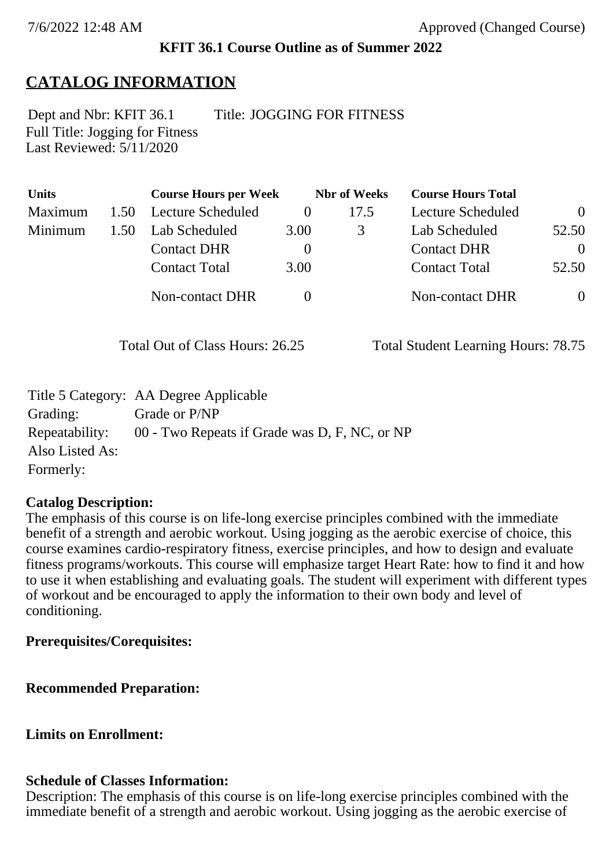#### **KFIT 36.1 Course Outline as of Summer 2022**

# **CATALOG INFORMATION**

Full Title: Jogging for Fitness Last Reviewed: 5/11/2020 Dept and Nbr: KFIT 36.1 Title: JOGGING FOR FITNESS

| <b>Units</b> |      | <b>Course Hours per Week</b> |          | <b>Nbr</b> of Weeks | <b>Course Hours Total</b> |                |
|--------------|------|------------------------------|----------|---------------------|---------------------------|----------------|
| Maximum      | 1.50 | Lecture Scheduled            | $\theta$ | 17.5                | Lecture Scheduled         | $\overline{0}$ |
| Minimum      | 1.50 | Lab Scheduled                | 3.00     | 3                   | Lab Scheduled             | 52.50          |
|              |      | <b>Contact DHR</b>           | $\theta$ |                     | <b>Contact DHR</b>        | $\Omega$       |
|              |      | <b>Contact Total</b>         | 3.00     |                     | <b>Contact Total</b>      | 52.50          |
|              |      | Non-contact DHR              |          |                     | Non-contact DHR           | $\overline{0}$ |

Total Out of Class Hours: 26.25 Total Student Learning Hours: 78.75

|                 | Title 5 Category: AA Degree Applicable        |
|-----------------|-----------------------------------------------|
| Grading:        | Grade or P/NP                                 |
| Repeatability:  | 00 - Two Repeats if Grade was D, F, NC, or NP |
| Also Listed As: |                                               |
| Formerly:       |                                               |

#### **Catalog Description:**

The emphasis of this course is on life-long exercise principles combined with the immediate benefit of a strength and aerobic workout. Using jogging as the aerobic exercise of choice, this course examines cardio-respiratory fitness, exercise principles, and how to design and evaluate fitness programs/workouts. This course will emphasize target Heart Rate: how to find it and how to use it when establishing and evaluating goals. The student will experiment with different types of workout and be encouraged to apply the information to their own body and level of conditioning.

### **Prerequisites/Corequisites:**

**Recommended Preparation:**

# **Limits on Enrollment:**

# **Schedule of Classes Information:**

Description: The emphasis of this course is on life-long exercise principles combined with the immediate benefit of a strength and aerobic workout. Using jogging as the aerobic exercise of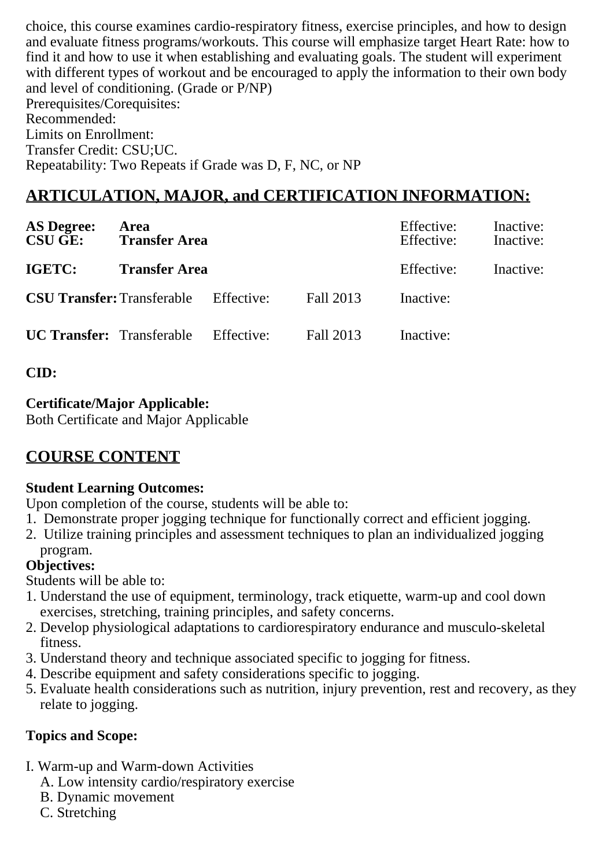choice, this course examines cardio-respiratory fitness, exercise principles, and how to design and evaluate fitness programs/workouts. This course will emphasize target Heart Rate: how to find it and how to use it when establishing and evaluating goals. The student will experiment with different types of workout and be encouraged to apply the information to their own body and level of conditioning. (Grade or P/NP) Prerequisites/Corequisites: Recommended: Limits on Enrollment: Transfer Credit: CSU;UC.

Repeatability: Two Repeats if Grade was D, F, NC, or NP

# **ARTICULATION, MAJOR, and CERTIFICATION INFORMATION:**

| <b>AS Degree:</b><br><b>CSU GE:</b> | Area<br><b>Transfer Area</b> |            |           | Effective:<br>Effective: | Inactive:<br>Inactive: |
|-------------------------------------|------------------------------|------------|-----------|--------------------------|------------------------|
| IGETC:                              | <b>Transfer Area</b>         |            |           | Effective:               | Inactive:              |
| <b>CSU Transfer: Transferable</b>   |                              | Effective: | Fall 2013 | Inactive:                |                        |
| <b>UC Transfer:</b> Transferable    |                              | Effective: | Fall 2013 | Inactive:                |                        |

# **CID:**

#### **Certificate/Major Applicable:**

[Both Certificate and Major Applicable](SR_ClassCheck.aspx?CourseKey=KFIT36.1)

# **COURSE CONTENT**

# **Student Learning Outcomes:**

Upon completion of the course, students will be able to:

- 1. Demonstrate proper jogging technique for functionally correct and efficient jogging.
- 2. Utilize training principles and assessment techniques to plan an individualized jogging program.

# **Objectives:**

Students will be able to:

- 1. Understand the use of equipment, terminology, track etiquette, warm-up and cool down exercises, stretching, training principles, and safety concerns.
- 2. Develop physiological adaptations to cardiorespiratory endurance and musculo-skeletal fitness.
- 3. Understand theory and technique associated specific to jogging for fitness.
- 4. Describe equipment and safety considerations specific to jogging.
- 5. Evaluate health considerations such as nutrition, injury prevention, rest and recovery, as they relate to jogging.

# **Topics and Scope:**

- I. Warm-up and Warm-down Activities
	- A. Low intensity cardio/respiratory exercise
	- B. Dynamic movement
	- C. Stretching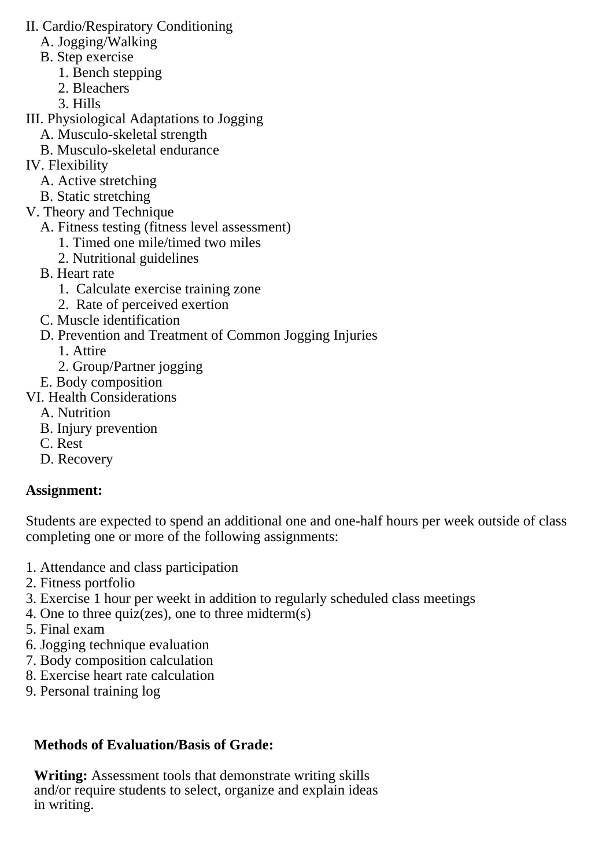- II. Cardio/Respiratory Conditioning
	- A. Jogging/Walking
	- B. Step exercise
		- 1. Bench stepping
		- 2. Bleachers
		- 3. Hills
- III. Physiological Adaptations to Jogging
	- A. Musculo-skeletal strength
	- B. Musculo-skeletal endurance
- IV. Flexibility
	- A. Active stretching
	- B. Static stretching
- V. Theory and Technique
	- A. Fitness testing (fitness level assessment)
		- 1. Timed one mile/timed two miles
		- 2. Nutritional guidelines
	- B. Heart rate
		- 1. Calculate exercise training zone
		- 2. Rate of perceived exertion
	- C. Muscle identification
	- D. Prevention and Treatment of Common Jogging Injuries
		- 1. Attire
		- 2. Group/Partner jogging
	- E. Body composition
- VI. Health Considerations
	- A. Nutrition
	- B. Injury prevention
	- C. Rest
	- D. Recovery

# **Assignment:**

Students are expected to spend an additional one and one-half hours per week outside of class completing one or more of the following assignments:

- 1. Attendance and class participation
- 2. Fitness portfolio
- 3. Exercise 1 hour per weekt in addition to regularly scheduled class meetings
- 4. One to three quiz(zes), one to three midterm(s)
- 5. Final exam
- 6. Jogging technique evaluation
- 7. Body composition calculation
- 8. Exercise heart rate calculation
- 9. Personal training log

# **Methods of Evaluation/Basis of Grade:**

**Writing:** Assessment tools that demonstrate writing skills and/or require students to select, organize and explain ideas in writing.